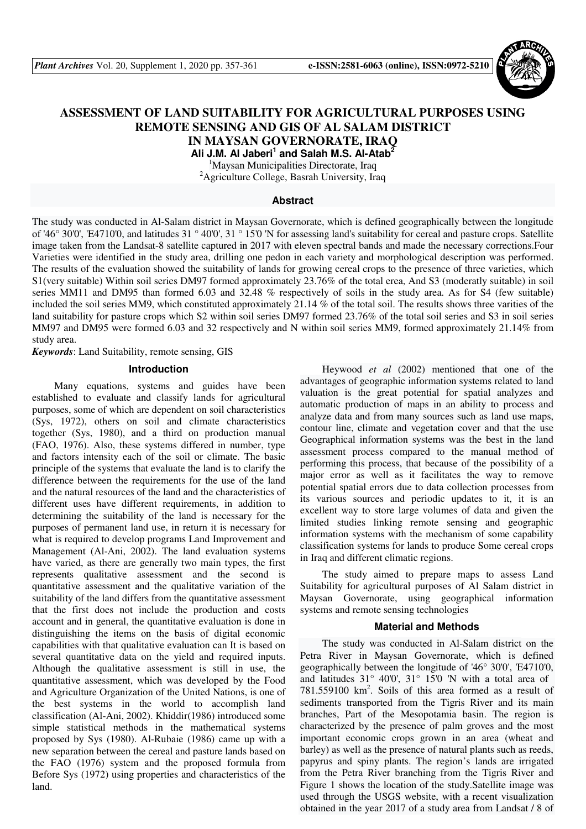

# **ASSESSMENT OF LAND SUITABILITY FOR AGRICULTURAL PURPOSES USING REMOTE SENSING AND GIS OF AL SALAM DISTRICT IN MAYSAN GOVERNORATE, IRAQ**

**Ali J.M. Al Jaberi<sup>1</sup> and Salah M.S. Al-Atab<sup>2</sup>**

<sup>1</sup>Maysan Municipalities Directorate, Iraq <sup>2</sup> Agriculture College, Basrah University, Iraq

### **Abstract**

The study was conducted in Al-Salam district in Maysan Governorate, which is defined geographically between the longitude of '46° 30'0', 'E4710'0, and latitudes 31 ° 40'0', 31 ° 15'0 'N for assessing land's suitability for cereal and pasture crops. Satellite image taken from the Landsat-8 satellite captured in 2017 with eleven spectral bands and made the necessary corrections.Four Varieties were identified in the study area, drilling one pedon in each variety and morphological description was performed. The results of the evaluation showed the suitability of lands for growing cereal crops to the presence of three varieties, which S1(very suitable) Within soil series DM97 formed approximately 23.76% of the total erea, And S3 (moderatly suitable) in soil series MM11 and DM95 than formed 6.03 and 32.48 % respectively of soils in the study area. As for S4 (few suitable) included the soil series MM9, which constituted approximately 21.14 % of the total soil. The results shows three varities of the land suitability for pasture crops which S2 within soil series DM97 formed 23.76% of the total soil series and S3 in soil series MM97 and DM95 were formed 6.03 and 32 respectively and N within soil series MM9, formed approximately 21.14% from study area.

*Keywords*: Land Suitability, remote sensing, GIS

#### **Introduction**

Many equations, systems and guides have been established to evaluate and classify lands for agricultural purposes, some of which are dependent on soil characteristics (Sys, 1972), others on soil and climate characteristics together (Sys, 1980), and a third on production manual (FAO, 1976). Also, these systems differed in number, type and factors intensity each of the soil or climate. The basic principle of the systems that evaluate the land is to clarify the difference between the requirements for the use of the land and the natural resources of the land and the characteristics of different uses have different requirements, in addition to determining the suitability of the land is necessary for the purposes of permanent land use, in return it is necessary for what is required to develop programs Land Improvement and Management (Al-Ani, 2002). The land evaluation systems have varied, as there are generally two main types, the first represents qualitative assessment and the second is quantitative assessment and the qualitative variation of the suitability of the land differs from the quantitative assessment that the first does not include the production and costs account and in general, the quantitative evaluation is done in distinguishing the items on the basis of digital economic capabilities with that qualitative evaluation can It is based on several quantitative data on the yield and required inputs. Although the qualitative assessment is still in use, the quantitative assessment, which was developed by the Food and Agriculture Organization of the United Nations, is one of the best systems in the world to accomplish land classification (Al-Ani, 2002). Khiddir(1986) introduced some simple statistical methods in the mathematical systems proposed by Sys (1980). Al-Rubaie (1986) came up with a new separation between the cereal and pasture lands based on the FAO (1976) system and the proposed formula from Before Sys (1972) using properties and characteristics of the land.

Heywood *et al* (2002) mentioned that one of the advantages of geographic information systems related to land valuation is the great potential for spatial analyzes and automatic production of maps in an ability to process and analyze data and from many sources such as land use maps, contour line, climate and vegetation cover and that the use Geographical information systems was the best in the land assessment process compared to the manual method of performing this process, that because of the possibility of a major error as well as it facilitates the way to remove potential spatial errors due to data collection processes from its various sources and periodic updates to it, it is an excellent way to store large volumes of data and given the limited studies linking remote sensing and geographic information systems with the mechanism of some capability classification systems for lands to produce Some cereal crops in Iraq and different climatic regions.

The study aimed to prepare maps to assess Land Suitability for agricultural purposes of Al Salam district in Maysan Governorate, using geographical information systems and remote sensing technologies

### **Material and Methods**

The study was conducted in Al-Salam district on the Petra River in Maysan Governorate, which is defined geographically between the longitude of '46° 30'0', 'E4710'0, and latitudes 31° 40'0', 31° 15'0 'N with a total area of  $781.559100 \text{ km}^2$ . Soils of this area formed as a result of sediments transported from the Tigris River and its main branches, Part of the Mesopotamia basin. The region is characterized by the presence of palm groves and the most important economic crops grown in an area (wheat and barley) as well as the presence of natural plants such as reeds, papyrus and spiny plants. The region's lands are irrigated from the Petra River branching from the Tigris River and Figure 1 shows the location of the study.Satellite image was used through the USGS website, with a recent visualization obtained in the year 2017 of a study area from Landsat / 8 of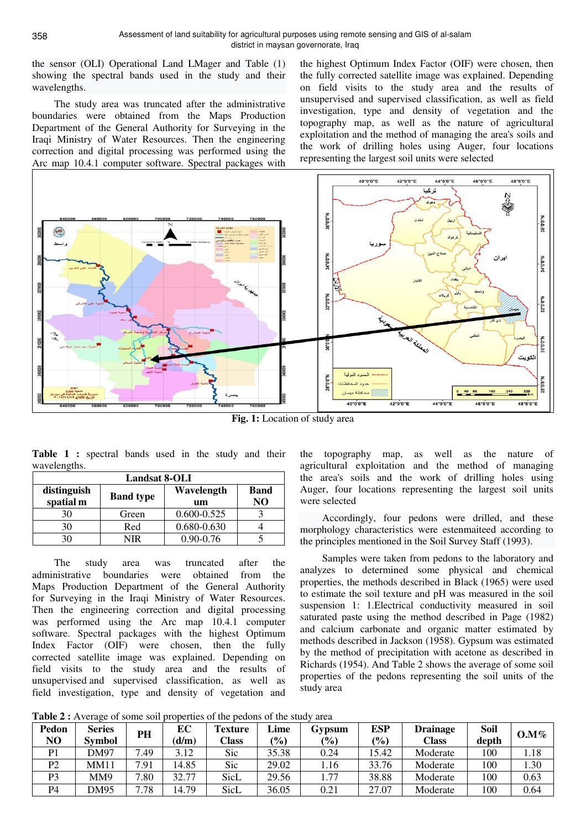the sensor (OLI) Operational Land LMager and Table (1) showing the spectral bands used in the study and their wavelengths.

The study area was truncated after the administrative boundaries were obtained from the Maps Production Department of the General Authority for Surveying in the Iraqi Ministry of Water Resources. Then the engineering correction and digital processing was performed using the Arc map 10.4.1 computer software. Spectral packages with

the highest Optimum Index Factor (OIF) were chosen, then the fully corrected satellite image was explained. Depending on field visits to the study area and the results of unsupervised and supervised classification, as well as field investigation, type and density of vegetation and the topography map, as well as the nature of agricultural exploitation and the method of managing the area's soils and the work of drilling holes using Auger, four locations representing the largest soil units were selected



**Fig. 1:** Location of study area

**Table 1 :** spectral bands used in the study and their wavelengths.

| <b>Landsat 8-OLI</b> |                  |                 |             |  |  |  |  |  |
|----------------------|------------------|-----------------|-------------|--|--|--|--|--|
| distinguish          | <b>Band type</b> | Wavelength      | <b>Band</b> |  |  |  |  |  |
| spatial m            |                  | um              | NO          |  |  |  |  |  |
| 30                   | Green            | $0.600 - 0.525$ |             |  |  |  |  |  |
| 30                   | Red              | 0.680-0.630     |             |  |  |  |  |  |
| 30                   | VIR              | $0.90 - 0.76$   |             |  |  |  |  |  |

The study area was truncated after the administrative boundaries were obtained from the Maps Production Department of the General Authority for Surveying in the Iraqi Ministry of Water Resources. Then the engineering correction and digital processing was performed using the Arc map 10.4.1 computer software. Spectral packages with the highest Optimum Index Factor (OIF) were chosen, then the fully corrected satellite image was explained. Depending on field visits to the study area and the results of unsupervised and supervised classification, as well as field investigation, type and density of vegetation and

the topography map, as well as the nature of agricultural exploitation and the method of managing the area's soils and the work of drilling holes using Auger, four locations representing the largest soil units were selected

Accordingly, four pedons were drilled, and these morphology characteristics were estenmaiteed according to the principles mentioned in the Soil Survey Staff (1993).

Samples were taken from pedons to the laboratory and analyzes to determined some physical and chemical properties, the methods described in Black (1965) were used to estimate the soil texture and pH was measured in the soil suspension 1: 1.Electrical conductivity measured in soil saturated paste using the method described in Page (1982) and calcium carbonate and organic matter estimated by methods described in Jackson (1958). Gypsum was estimated by the method of precipitation with acetone as described in Richards (1954). And Table 2 shows the average of some soil properties of the pedons representing the soil units of the study area

Table 2 : Average of some soil properties of the pedons of the study area

| Pedon<br>NO    | <b>Series</b><br><b>Symbol</b> | PH   | EС<br>(d/m) | <b>Texture</b><br>Class | Lime<br>$\frac{9}{6}$ | Gypsum<br>(%) | ESP<br>(%) | <b>Drainage</b><br><b>Class</b> | Soil<br>depth | 0.M% |
|----------------|--------------------------------|------|-------------|-------------------------|-----------------------|---------------|------------|---------------------------------|---------------|------|
| P1             | DM97                           | 7.49 | 3.12        | Sic                     | 35.38                 | 0.24          | 15.42      | Moderate                        | 100           | 1.18 |
| P <sub>2</sub> | MM11                           | 7.91 | 14.85       | Sic                     | 29.02                 | . . 16        | 33.76      | Moderate                        | 100           | 1.30 |
| P3             | MM9                            | 7.80 | 32.77       | SicL                    | 29.56                 | .77           | 38.88      | Moderate                        | 100           | 0.63 |
| <b>P4</b>      | DM95                           | 7.78 | 14.79       | SicL                    | 36.05                 | 0.21          | 27.07      | Moderate                        | 100           | 0.64 |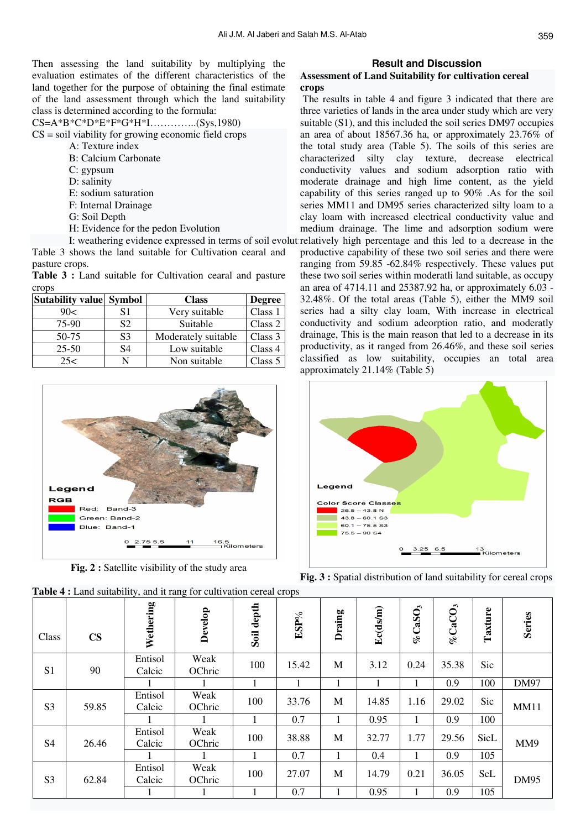Then assessing the land suitability by multiplying the evaluation estimates of the different characteristics of the land together for the purpose of obtaining the final estimate of the land assessment through which the land suitability class is determined according to the formula:

CS=A\*B\*C\*D\*E\*F\*G\*H\*I…………..(Sys,1980)

 $CS = soil viability for growing economic field crops$ 

- A: Texture index
- B: Calcium Carbonate
- C: gypsum
- D: salinity
- E: sodium saturation
- F: Internal Drainage
- G: Soil Depth
- H: Evidence for the pedon Evolution

Table 3 shows the land suitable for Cultivation cearal and pasture crops.

**Table 3 :** Land suitable for Cultivation cearal and pasture crops

| Sutability value Symbol |                | <b>Class</b>        | <b>Degree</b> |
|-------------------------|----------------|---------------------|---------------|
| 90<                     | S1             | Very suitable       | Class 1       |
| 75-90                   | S <sub>2</sub> | Suitable            | Class 2       |
| $50-75$                 | S <sub>3</sub> | Moderately suitable | Class 3       |
| $25 - 50$               | S4             | Low suitable        | Class 4       |
| 25<                     |                | Non suitable        | Class 5       |



**Fig. 2 :** Satellite visibility of the study area



# **Result and Discussion**

# **Assessment of Land Suitability for cultivation cereal crops**

I: weathering evidence expressed in terms of soil evolut relatively high percentage and this led to a decrease in the The results in table 4 and figure 3 indicated that there are three varieties of lands in the area under study which are very suitable (S1), and this included the soil series DM97 occupies an area of about 18567.36 ha, or approximately 23.76% of the total study area (Table 5). The soils of this series are characterized silty clay texture, decrease electrical conductivity values and sodium adsorption ratio with moderate drainage and high lime content, as the yield capability of this series ranged up to 90% .As for the soil series MM11 and DM95 series characterized silty loam to a clay loam with increased electrical conductivity value and medium drainage. The lime and adsorption sodium were productive capability of these two soil series and there were ranging from 59.85 -62.84% respectively. These values put these two soil series within moderatli land suitable, as occupy an area of 4714.11 and 25387.92 ha, or approximately 6.03 - 32.48%. Of the total areas (Table 5), either the MM9 soil series had a silty clay loam, With increase in electrical conductivity and sodium adeorption ratio, and moderatly drainage, This is the main reason that led to a decrease in its productivity, as it ranged from 26.46%, and these soil series classified as low suitability, occupies an total area approximately 21.14% (Table 5)



**Fig. 3 :** Spatial distribution of land suitability for cereal crops

| Class          | $\mathbf{CS}$ | Wethering         | Develop        | Soil depth | $\mathbf{ESP}\%$ | Draing | Ec(ds/m) | $\%$ CaSO <sub>3</sub> | $%$ CaCO <sub>3</sub> | Taxture | <b>Series</b> |
|----------------|---------------|-------------------|----------------|------------|------------------|--------|----------|------------------------|-----------------------|---------|---------------|
| S1             | 90            | Entisol<br>Calcic | Weak<br>OChric | 100        | 15.42            | M      | 3.12     | 0.24                   | 35.38                 | Sic     |               |
|                |               |                   |                | 1          |                  | 1      |          | 1                      | 0.9                   | 100     | DM97          |
| S <sub>3</sub> | 59.85         | Entisol<br>Calcic | Weak<br>OChric | 100        | 33.76            | M      | 14.85    | 1.16                   | 29.02                 | Sic     | <b>MM11</b>   |
|                |               |                   |                | 1          | 0.7              | 1      | 0.95     | 1                      | 0.9                   | 100     |               |
| S <sub>4</sub> | 26.46         | Entisol<br>Calcic | Weak<br>OChric | 100        | 38.88            | M      | 32.77    | 1.77                   | 29.56                 | SicL    | MM9           |
|                |               |                   |                | 1          | 0.7              | 1      | 0.4      | $\mathbf{1}$           | 0.9                   | 105     |               |
| S <sub>3</sub> | 62.84         | Entisol<br>Calcic | Weak<br>OChric | 100        | 27.07            | M      | 14.79    | 0.21                   | 36.05                 | ScL     | <b>DM95</b>   |
|                |               |                   |                |            | 0.7              |        | 0.95     |                        | 0.9                   | 105     |               |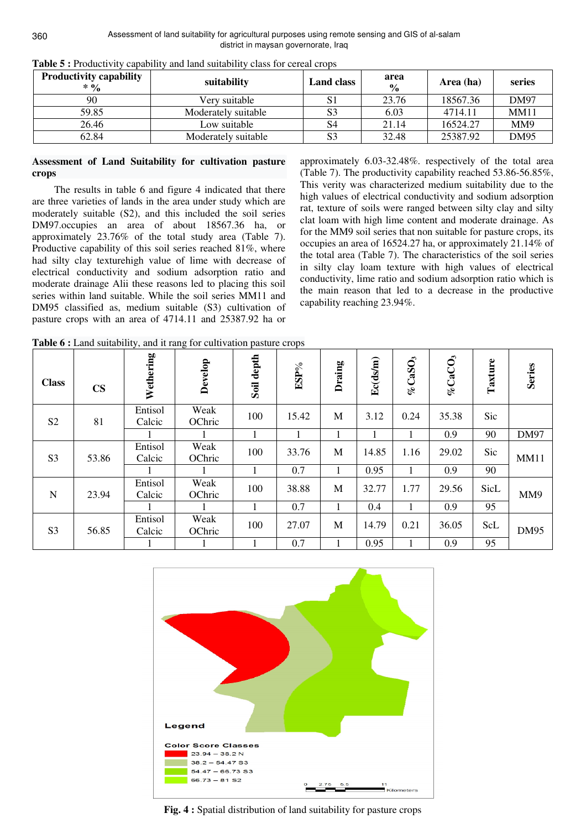| <b>Productivity capability</b><br>$* \nu_{\alpha}$ | suitability         | <b>Land class</b> | area<br>$\frac{6}{9}$ | Area (ha) | series      |
|----------------------------------------------------|---------------------|-------------------|-----------------------|-----------|-------------|
| 90                                                 | Very suitable       |                   | 23.76                 | 18567.36  | <b>DM97</b> |
| 59.85                                              | Moderately suitable |                   | 6.03                  | 4714.11   | <b>MM11</b> |
| 26.46                                              | Low suitable        |                   | 21.14                 | 16524.27  | MM9         |
| 62.84                                              | Moderately suitable |                   | 32.48                 | 25387.92  | <b>DM95</b> |

**Table 5 :** Productivity capability and land suitability class for cereal crops

# **Assessment of Land Suitability for cultivation pasture crops**

The results in table 6 and figure 4 indicated that there are three varieties of lands in the area under study which are moderately suitable (S2), and this included the soil series DM97.occupies an area of about 18567.36 ha, or approximately 23.76% of the total study area (Table 7). Productive capability of this soil series reached 81%, where had silty clay texturehigh value of lime with decrease of electrical conductivity and sodium adsorption ratio and moderate drainage Alii these reasons led to placing this soil series within land suitable. While the soil series MM11 and DM95 classified as, medium suitable (S3) cultivation of pasture crops with an area of 4714.11 and 25387.92 ha or

approximately 6.03-32.48%. respectively of the total area (Table 7). The productivity capability reached 53.86-56.85%, This verity was characterized medium suitability due to the high values of electrical conductivity and sodium adsorption rat, texture of soils were ranged between silty clay and silty clat loam with high lime content and moderate drainage. As for the MM9 soil series that non suitable for pasture crops, its occupies an area of 16524.27 ha, or approximately 21.14% of the total area (Table 7). The characteristics of the soil series in silty clay loam texture with high values of electrical conductivity, lime ratio and sodium adsorption ratio which is the main reason that led to a decrease in the productive capability reaching 23.94%.

**Table 6 :** Land suitability, and it rang for cultivation pasture crops

| <b>Class</b>   | $\mathbf{CS}$ | Wethering         | Develop        | Soil depth | ESP%  | Draing | Ec(ds/m) | $\%$ CaSO <sub>3</sub> | $\%$ CaCO <sub>3</sub> | Taxture    | <b>Series</b> |
|----------------|---------------|-------------------|----------------|------------|-------|--------|----------|------------------------|------------------------|------------|---------------|
| S <sub>2</sub> | 81            | Entisol<br>Calcic | Weak<br>OChric | 100        | 15.42 | M      | 3.12     | 0.24                   | 35.38                  | Sic        |               |
|                |               |                   |                |            | 1     |        |          |                        | 0.9                    | 90         | <b>DM97</b>   |
| S <sub>3</sub> | 53.86         | Entisol<br>Calcic | Weak<br>OChric | 100        | 33.76 | M      | 14.85    | 1.16                   | 29.02                  | Sic        | <b>MM11</b>   |
|                |               |                   |                |            | 0.7   |        | 0.95     | 1                      | 0.9                    | 90         |               |
| N              | 23.94         | Entisol<br>Calcic | Weak<br>OChric | 100        | 38.88 | M      | 32.77    | 1.77                   | 29.56                  | SicL       | MM9           |
|                |               |                   |                |            | 0.7   |        | 0.4      |                        | 0.9                    | 95         |               |
| S <sub>3</sub> | 56.85         | Entisol<br>Calcic | Weak<br>OChric | 100        | 27.07 | M      | 14.79    | 0.21                   | 36.05                  | <b>ScL</b> | <b>DM95</b>   |
|                |               |                   |                |            | 0.7   |        | 0.95     | -1                     | 0.9                    | 95         |               |



**Fig. 4 :** Spatial distribution of land suitability for pasture crops